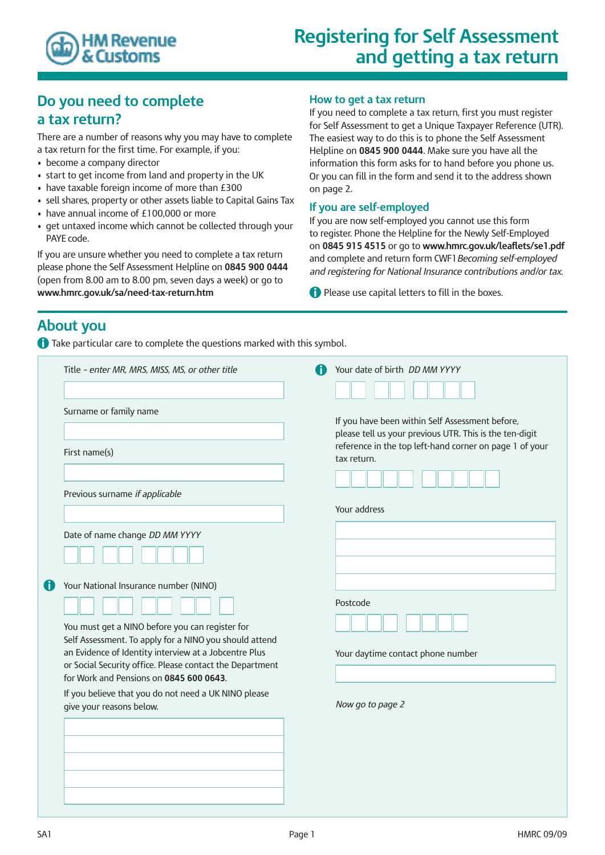

# **Registering for Self Assessment and getting a tax return**

### **Do you need to complete a tax return?**

There are a number of reasons why you may have to complete a tax return for the first time. For example, if you:

- become a company director
- start to get income from land and property in the UK
- have taxable foreign income of more than £300
- sell shares, property or other assets liable to Capital Gains Tax
- have annual income of £100,000 or more
- get untaxed income which cannot be collected through your PAYE code.

If you are unsure whether you need to complete a tax return please phone the Self Assessment Helpline on **0845 900 0444** (open from 8.00 am to 8.00 pm, seven days a week) or go to **www.hmrc.gov.uk/sa/need-tax-return.htm**

#### **How to get a tax return**

If you need to complete a tax return, first you must register for Self Assessment to get a Unique Taxpayer Reference (UTR). The easiest way to do this is to phone the Self Assessment Helpline on **0845 900 0444**. Make sure you have all the information this form asks for to hand before you phone us. Or you can fill in the form and send it to the address shown on page 2.

#### **If you are self-employed**

If you are now self-employed you cannot use this form to register. Phone the Helpline for the Newly Self-Employed on **0845 915 4515** or go to **www.hmrc.gov.uk/leaflets/se1.pdf** and complete and return form CWF1*Becoming self-employed and registering for National Insurance contributions and/or tax*.

**A** Please use capital letters to fill in the boxes.

### **About you**

**A** Take particular care to complete the questions marked with this symbol.

|   | Title - enter MR, MRS, MISS, MS, or other title<br>Surname or family name                                                                                                                                                                                                                                                                                                                              | Your date of birth <i>DD MM YYYY</i><br>If you have been within Self Assessment before,                                           |  |  |
|---|--------------------------------------------------------------------------------------------------------------------------------------------------------------------------------------------------------------------------------------------------------------------------------------------------------------------------------------------------------------------------------------------------------|-----------------------------------------------------------------------------------------------------------------------------------|--|--|
|   | First name(s)                                                                                                                                                                                                                                                                                                                                                                                          | please tell us your previous UTR. This is the ten-digit<br>reference in the top left-hand corner on page 1 of your<br>tax return. |  |  |
|   | Previous surname if applicable                                                                                                                                                                                                                                                                                                                                                                         | Your address                                                                                                                      |  |  |
|   | Date of name change DD MM YYYY                                                                                                                                                                                                                                                                                                                                                                         |                                                                                                                                   |  |  |
| O | Your National Insurance number (NINO)<br>You must get a NINO before you can register for<br>Self Assessment. To apply for a NINO you should attend<br>an Evidence of Identity interview at a Jobcentre Plus<br>or Social Security office. Please contact the Department<br>for Work and Pensions on 0845 600 0643.<br>If you believe that you do not need a UK NINO please<br>give your reasons below. | Postcode<br>Your daytime contact phone number                                                                                     |  |  |
|   |                                                                                                                                                                                                                                                                                                                                                                                                        | Now go to page 2                                                                                                                  |  |  |
|   |                                                                                                                                                                                                                                                                                                                                                                                                        |                                                                                                                                   |  |  |